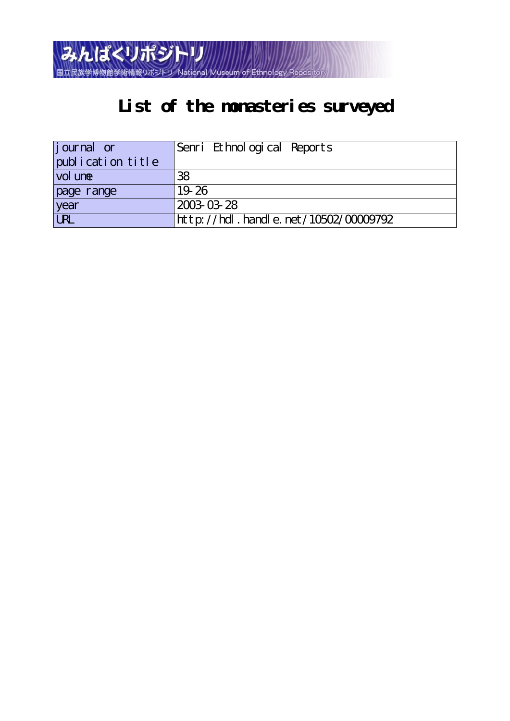

# **List of the monasteries surveyed**

| <i>j</i> ournal or | Senri Ethnological Reports           |
|--------------------|--------------------------------------|
| publication title  |                                      |
| vol une            | 38                                   |
| page range         | 19.26                                |
| year<br>URL        | 2003-03-28                           |
|                    | http://hdl.handle.net/10502/00009792 |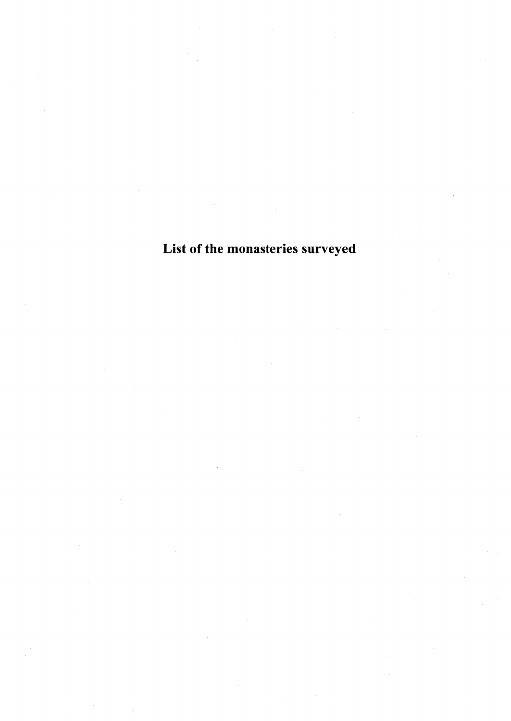List of the monasteries surveyed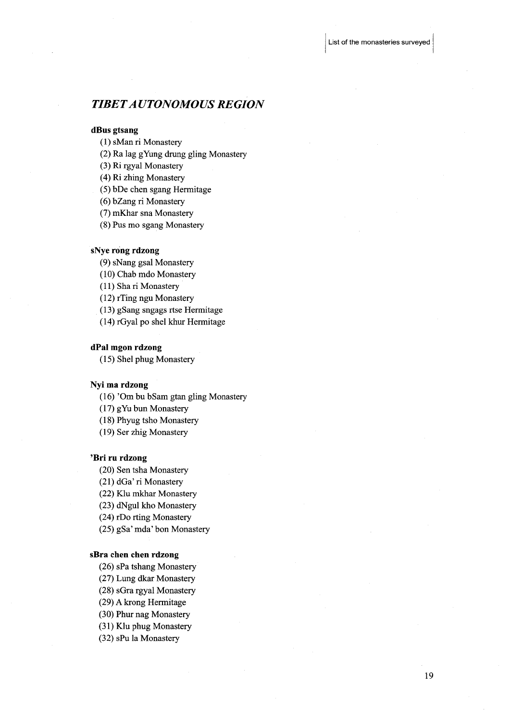# TIBET AUTONOMOUS REGION

#### dBus gtsang

(1) sMan ri Monastery

(2) Ra lag gYUng drung gling Monastery

(3) Ri rgyal Monastery

(4) Ri zhing Monastery

(5) bDe chen sgang Hermitage

(6) bZang ri Monastery

(7) mKhar sna Monastery

(8) Pus mo sgang Monastery

# sNye rong rdzong

(9)・sNang gsal Monastery

(10) Chab mdo Monastery

(11) Sha ri Monastery

(12) rTing ngu Monastery

(13) gSang sngags rtse Hermitage

(14) rGyal po shel khur Hermitage

## dPal mgon rdzong

(15) Shel phug Monastery

#### Nyi ma rdzong

(16) 'Om bu bSam gtan gling Monastery

(17) gYu bun Monastery

(1 8) Phyug tsho Monastery

(19) Ser zhig Monastery

# 'Bri ru rdzong

(20) Sen tsha Monastery

(21) dGa' ri Monastery

(22) Klu mkhar Monastery

(23) dNgul kho Monastery

(24) rDo rting Monastery

(25) gSa' mda' bon Monastery

## sBra chen chen rdzong

(26) sPa tshang Monastery

(27) Lung dkar Monastery

(28) sGra tgyal Monastery

(29) A krong Hermitage

(30) Phur nag Monastery

(31) Klu phug Monastery

(32) sPu la Monastery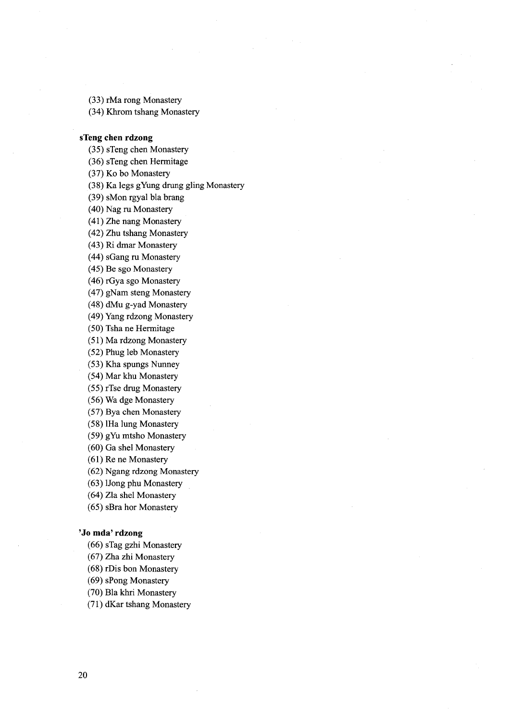(33) rMa rong Monastery (34) Khrom tshang Monastery

### sTeng chen rdzong

(35) sTeng chen Monastery

(36) sTeng chen Hermitage

(37) Ko bo Monastery

(38) Ka legs gYUng drung gling Monastery

(39) sMon rgyal bla brang

(40) Nag ru Monastery

(41) Zhe nang Monastery

(42) Zhu tshang Monastery

(43) Ri dmar Monastery

(44) sGang ru Monastery

(45) Be sgo Monastery

(46) rGya sgo Monastery

(47) gNam steng Monastery

(48) dMu g-yad Monastery

(49) Yang rdzong Monastery

(50) Tsha ne Hermitage

(5 l) Ma rdzong Monastery

(52) Phug leb Monastery

(53) Kha spungs Nunney

(54) Mar khu Monastery

(55) rTse dmg Monastery

(56) Wa dge Monastery

(57) Bya chen Monastery

(58) IHa 1ung Monastery

(59) gYU mtsho Monastery

(60) Ga shel Monastery

(61) Re ne Monastery

(62) Ngang rdzong Monastery

(63) IJong phu Monastery

(64) Zla shel Monastery

(65) sBra hor Monastery

# 'Jo mda' rdzong

(66) sTag gzhi Monastery

(67) Zha zhi Monastery

(68) rDis bon Monastery

(69) sPong Monastery

(70) Bla khri Monastery

(7 1) dKar tshang Monastery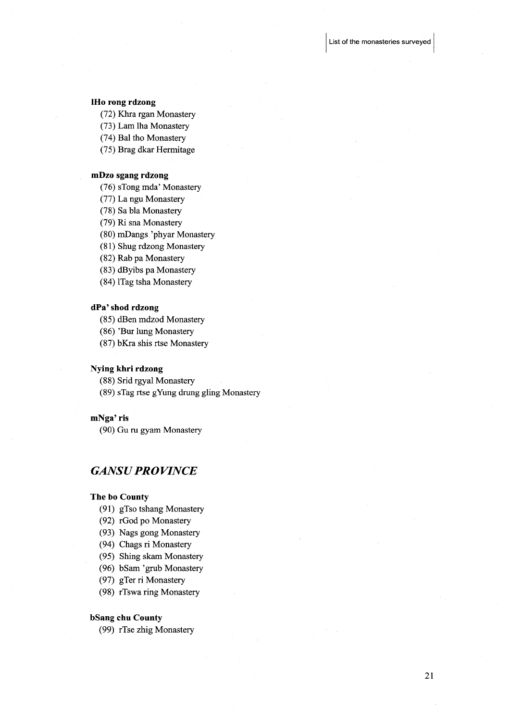### IHo rong rdzong

(72) Khra tgan Monastery

(73) Lam lha Monastery

(74) Bal tho Monastery

(75) Brag dkar Hermitage

## mDzo sgang rdzong

(76) sTong mda' Monastery

(77) La ngu Monastery

(78) Sa bla Monastery

(79) Ri sna Monastery

(80) mDangs 'phyar Monastery

(81) Shug rdzong Monastery

(82) Rab pa Monastery

(83) dByibs pa Monastery

(84) ITag tsha Monastery

#### dPa' shod rdzong

(85) dBen mdzod Monastery

(86) 'Bur lung Monastery

(87) bKra shis rtse Monastery

## Nying khri rdzong

(88) Srid rgyal Monastery

(89) s'fag rtse gYUng drung gling Monastery

# mNga' ris

(90) Gu ru gyam Monastery

# **GANSU PROVINCE**

#### The be County

(91) gTso tshang Monastery

- (92) rGod po Monastery
- (93) Nags gong Monastery
- (94) Chags ri Monastery
- (95) Shing skam Monastery
- (96) bSam 'grub Monastery
- (97) gTer ri Monastery
- (98) rTswa ring Monastery

## bSang chu County

(99) rTse zhig Monastery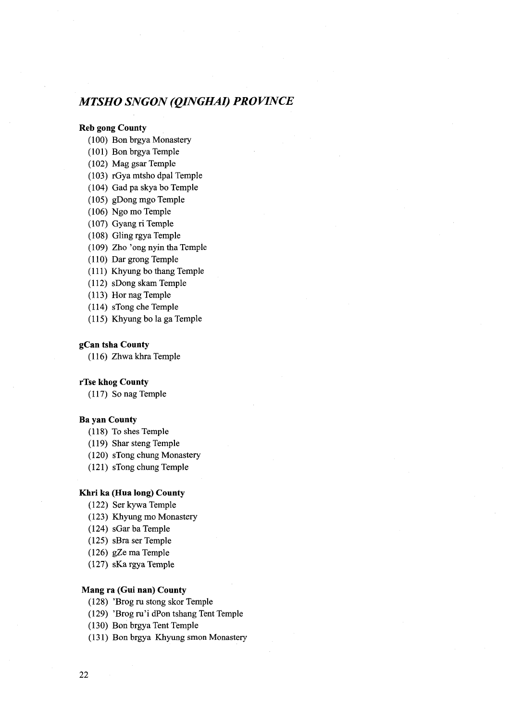# MTSHO SNGON (QINGHAI) PROVINCE

# Reb gong County

- (1OO) Bon brgya Monastery
- (101) Bon brgya Temple
- (102) Mag gsar Temple
- (103) rGya mtsho dpal Temple
- (104) Gad pa skya bo Temple
- (105) gDong mgo Temple
- $(106)$  Ngo mo Temple
- (107) Gyang ri Temple
- $(108)$  Gling rgya Temple
- (109) Zho 'ong nyin tha Temple
- $(110)$  Dar grong Temple
- $(111)$  Khyung bo thang Temple
- (112) sDong skam Temple
- (113) Hor nag Temple
- (114) sTong che Temple
- $(115)$  Khyung bo la ga Temple

## gCan tsha County

 $(116)$  Zhwa khra Temple

#### rTse khog County

 $(117)$  So nag Temple

#### Ba yan County

- (118) To shes Temple
- (119) Shar steng Temple
- (120) sTong chung Monastery
- (121) sTong chung femple

#### Khri ka (Hua long) County

- (122) Ser kywa 'femple
- (123) Khyung mo Monastery
- $(124)$  sGar ba Temple
- (125) sBra ser Temple
- $(126)$  gZe ma Temple
- (127) sKa rgya Temple

# Mang ra (Gui nan) County

- (128) 'Brog ru stong skor Temple
- (129) 'Brog ru'i dPon tshang Tent Temple
- (130) Bon brgya Tent Temple
- (131) Bon brgya Khyung smon Monastery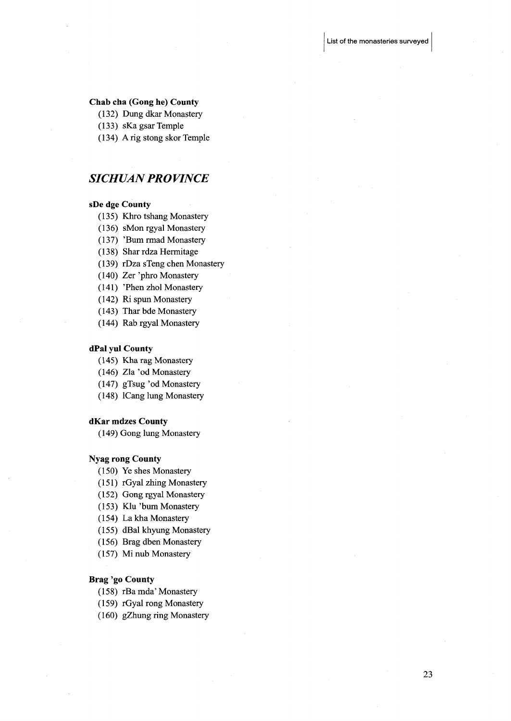#### Chab cha (Gong he) County

- (132) Dung dkar Monastery
- (133) sKa gsar Temple
- (134) A rig stong skor Temple

# SICHUAN PROVINCE

#### sDe dge County

- (135) Khro tshang Monastery
- (136) sMon rgyal Monastery
- (137) 'Bum rmad Monastery
- (138) Shar rdza Hermitage
- (139) rDza sTeng chen Monastery
- (140) Zer 'phro Monastery
- (141) 'Phen zhol Monastery
- (142) Ri spun Monastery
- (143) Thar bde Monastery
- (144) Rab rgyal Monastery

## dPal yul County

- (145) Kharag Monastery
- (146) Zla 'od Monastery
- (147) gTsug 'od Monastery
- (l48) ICang lung Monastery

#### dKar mdzes County

(149) Gong lung Monastery

#### Nyag rong County

- (150) Ye shes Monastery
- (151) rGyal zhing Monastery
- (152) Gongrgyal Monastery
- (153) Klu 'bum Monastery
- (154) La kha Monastery
- (155) dBal khyung Monastery
- (156) Brag dben Monastery
- (157) Mi nub Monastery

# Brag 'go County

- (158) rBamda'Monastery
- (159) rGyal rong Monastery
- (160) gZhung ring Monastery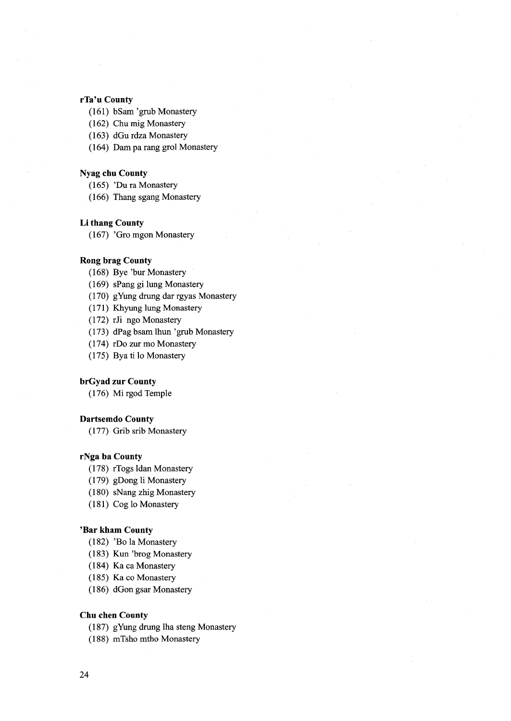# rTa'u County

- (161) bSam 'grub Monastery
- (162) Chu mig Monastery
- (163) dGu rdza Monastery
- (164) Dam pa rang grol Monastery

#### Nyag chu County

- (165) 'Du ra Monastery
- (166) Thang sgang Monastery

# Li thang County

(167) 'Gro mgon Monastery

### Rong brag County

- (168) Bye 'bur Monastery
- (169) sPang gi 1ung Monastery
- (170) gYUng drung dar rgyas Monastery
- (171) Khyung 1ung Monastery
- (172) rJi ngoMonastery
- (173) dPag bsam lhun 'grub Monastery
- (174) rDo zur mo Monastery
- (175) Bya ti lo Monastery

# brGyad zur County

(176) Mi rgod Temple

# Dartsemdo County

(177) Grib srib Monastery

# rNga ba County

- (178) rTogs ldan Monastery
- (179) gDong li Monastery
- (180) sNang zhig Monastery
- (181) Cog lo Monastery

### 'Bar kham County

- (182) 'Bo la Monastery
- (183) Kun 'brog Monastery
- (184) Ka ca Monastery
- (185) Ka co Monastery
- (186) dGon gsar Monastery

# Chu chen County

- (187) gYung drung lha steng Monastery
- (188) mTsho mtho Monastery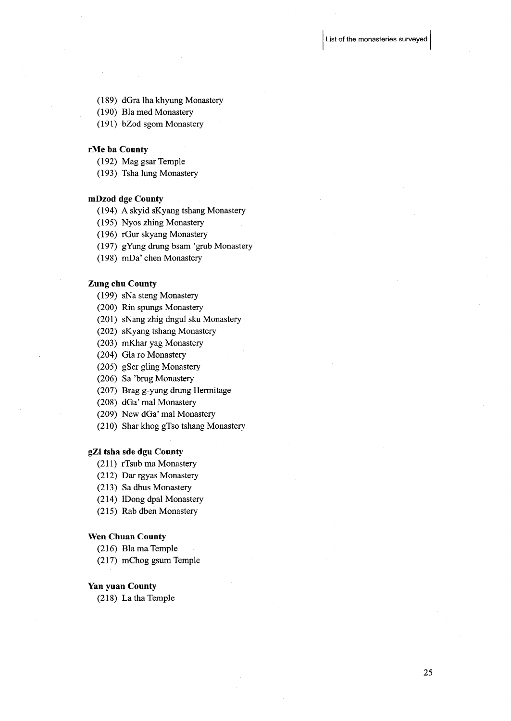- (189) dGra lha khyung Monastery
- (190) Bla med Monastery
- (191) bZod sgom Monastery

#### rMe ba County

- $(192)$  Mag gsar Temple
- (193) Tsha lung Monastery

## mDzod dge County

- (194) A skyid sKyang tshang Monastery
- (195) Nyos zhing Monastery
- (196) rGur skyang Monastery
- (197) gYung drung bsam 'grub Monastery
- (198) mDa' chen Monastery

## Zung ehu County

- (199) sNa steng Monastery
- (200) Rin spungs Monastery
- (201) sNang zhig dngul sku Monastery
- (202) sKyang tshang Monastery
- (203) mKhar yag Monastery
- (204) Glaro Monastery
- (205) gSer gling Monastery
- (206) Sa 'brug Monastery
- (207) Brag g-yung drung Hermitage
- (208) dGa' mal Monastery
- (209) New dGa' mal Monastery
- (21O) Shar khog g'fso tshang Monastery

#### gZi tsha sde dgu County

- (211) rTsub ma Monastery
- (212) Dar rgyas Monastery
- (213) Sa dbus Monastery
- (214) IDong dpal Monastery
- (215) Rab dben Monastery

### Wen Chuan County

- $(216)$  Bla ma Temple
- $(217)$  mChog gsum Temple

#### Yan yuan County

 $(218)$  La tha Temple